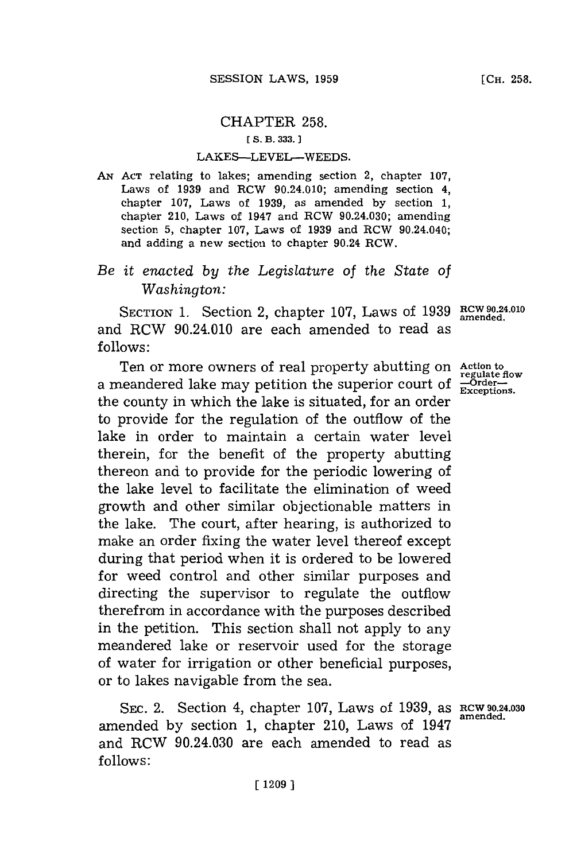## CHAPTER **258. [ S. B. 333. 1**

## LAKES-LEVEL-WEEDS.

*AN* **ACT** relating to lakes; amending section 2, chapter **107, Laws of 1939 and RCW 90.24.010; amending section 4,** chapter **107,** Laws of **1939,** as amended **by** section **1,** chapter 210, Laws of 1947 and RCW 90.24.030; amending section **5,** chapter **107,** Laws of **1939** and RCW 90.24.040; and adding a new section to chapter 90.24 RCW.

## *Be it enacted by the Legislature of the State of Washington:*

SECTION 1. Section 2, chapter 107, Laws of 1939 RCW 90.24.010 and RCW 90.24.010 are each amended to read as **follows:**

Ten or more owners of real property abutting on Action to regulate flow a meandered lake may petition the superior court of  $\frac{1}{\text{Exceptions}}$ . the county in which the lake is situated, for an order to provide for the regulation of the outflow of the lake in order to maintain a certain water level therein, for the benefit of the property abutting thereon and to provide for the periodic lowering of the lake level to facilitate the elimination of weed growth and other similar objectionable matters in the lake. The court, after hearing, is authorized to make an order fixing the water level thereof except during that period when it is ordered to be lowered for weed control and other similar purposes and directing the supervisor to regulate the outflow therefrom in accordance with the purposes described in the petition. This section shall not apply to any meandered lake or reservoir used for the storage of water for irrigation or other beneficial purposes, or to lakes navigable from the sea.

SEC. 2. Section 4, chapter 107, Laws of 1939, as **RCW** 90.24.030 amended by section 1, chapter 210, Laws of 1947 and RCW 90.24.030 are each amended to read as **follows:**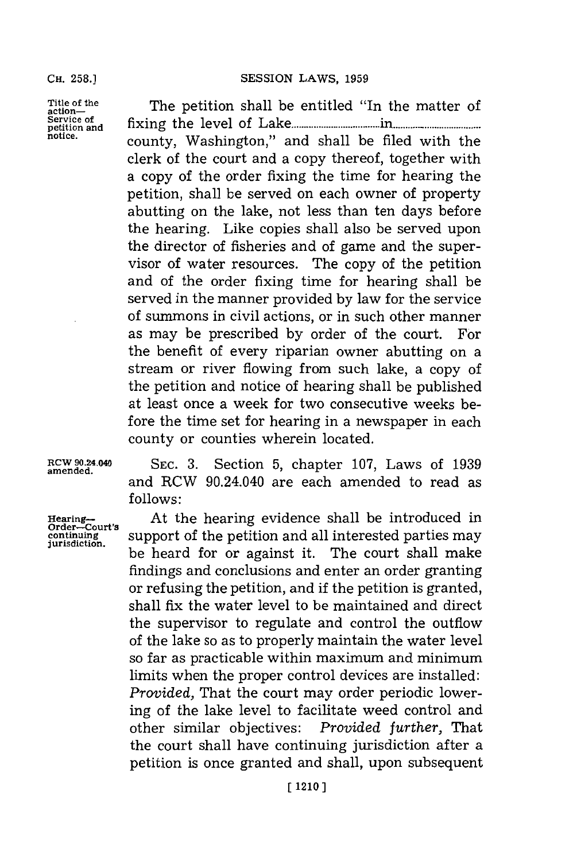Title of the The petition shall be entitled "In the matter of **Service of** *fxn* <sup>h</sup> **petition and** fxn h level of **Lake..................in . ..... .......... notice.** county, Washington," and shall be filed with the clerk of the court and a copy thereof, together with a copy of the order fixing the time for hearing the petition, shall be served on each owner of property abutting on the lake, not less than ten days before the hearing. Like copies shall also be served upon the director of fisheries and of game and the supervisor of water resources. The copy of the petition and of the order fixing time for hearing shall be served in the manner provided **by** law for the service of summons in civil actions, or in such other manner as may be prescribed **by** order of the court. For the benefit of every riparian owner abutting on a stream or river flowing from such lake, a copy of the petition and notice of hearing shall be published at least once a week for two consecutive weeks before the time set for hearing in a newspaper in each county or counties wherein located.

**RCW 90.24.040 SEC. 3.** Section **5,** chapter **107,** Laws of **<sup>1939</sup> amended.** and RCW 90.24.040 are each amended to read as **follows:**

Hearing-**Mature 19 and Alleh hearting** evidence shall be introduced in order-Court's support of the petition and all interested parties may **continuing** support of the petition and all interested parties may be heard for or against it. The court shall make findings and conclusions and enter an order granting or refusing the petition, and if the petition is granted, shall fix the water level to be maintained and direct the supervisor to regulate and control the outflow of the lake so as to properly maintain the water level so far as practicable within maximum and minimum limits when the proper control devices are installed: *Provided,* That the court may order periodic lowering of the lake level to facilitate weed control and other similar objectives: *Provided further,* That the court shall have continuing jurisdiction after a petition is once granted and shall, upon subsequent